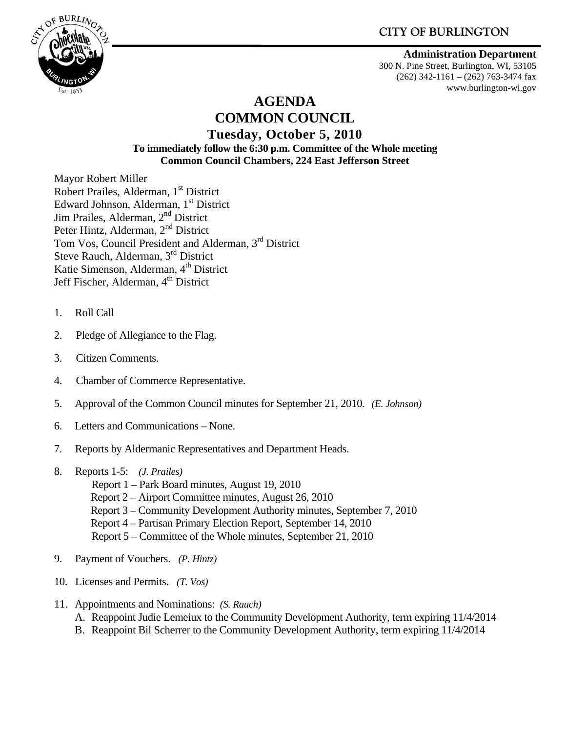

#### **Administration Department**

300 N. Pine Street, Burlington, WI, 53105 (262) 342-1161 – (262) 763-3474 fax www.burlington-wi.gov

# **AGENDA COMMON COUNCIL**

#### **Tuesday, October 5, 2010 To immediately follow the 6:30 p.m. Committee of the Whole meeting Common Council Chambers, 224 East Jefferson Street**

Mayor Robert Miller Robert Prailes, Alderman, 1<sup>st</sup> District Edward Johnson, Alderman, 1<sup>st</sup> District Jim Prailes, Alderman, 2<sup>nd</sup> District Peter Hintz, Alderman, 2<sup>nd</sup> District Tom Vos, Council President and Alderman, 3rd District Steve Rauch, Alderman, 3<sup>rd</sup> District Katie Simenson, Alderman, 4<sup>th</sup> District Jeff Fischer, Alderman, 4<sup>th</sup> District

- 1. Roll Call
- 2. Pledge of Allegiance to the Flag.
- 3. Citizen Comments.
- 4. Chamber of Commerce Representative.
- 5. Approval of the Common Council minutes for September 21, 2010. *(E. Johnson)*
- 6. Letters and Communications None.
- 7. Reports by Aldermanic Representatives and Department Heads.
- 8. Reports 1-5: *(J. Prailes)* 
	- Report 1 Park Board minutes, August 19, 2010
	- Report 2 Airport Committee minutes, August 26, 2010
	- Report 3 Community Development Authority minutes, September 7, 2010
	- Report 4 Partisan Primary Election Report, September 14, 2010
	- Report 5 Committee of the Whole minutes, September 21, 2010
- 9. Payment of Vouchers. *(P. Hintz)*
- 10. Licenses and Permits. *(T. Vos)*
- 11. Appointments and Nominations: *(S. Rauch)* A. Reappoint Judie Lemeiux to the Community Development Authority, term expiring 11/4/2014 B. Reappoint Bil Scherrer to the Community Development Authority, term expiring 11/4/2014